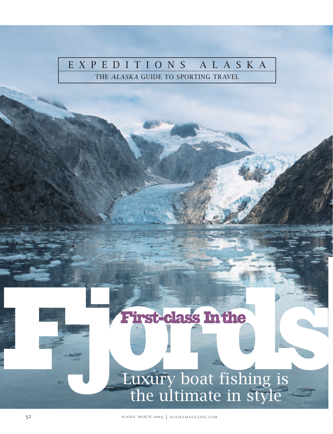# EXPEDITIONS ALASKA

THE ALASKA GUIDE TO SPORTING TRAVEL

# First-class In the Contract of Section 1.1 The Luxury boat fishing is the ultimate in style

52 ALASKA MARCH 2005 | ALASKAMAGAZINE.COM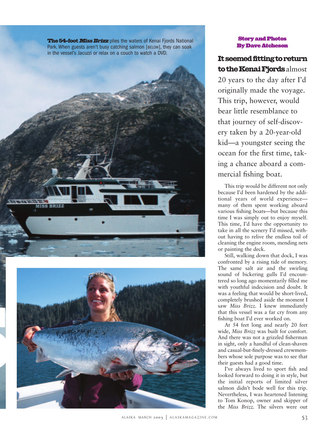The 54-foot Miss Brizz plies the waters of Kenai Fjords National Park. When guests aren't busy catching salmon [BELOW], they can soak in the vessel's Jacuzzi or relax on a couch to watch a DVD.





### Story and Photos By Dave Atcheson

## It seemed fitting to return to the Kenai Fjords almost

20 years to the day after I'd originally made the voyage. This trip, however, would bear little resemblance to that journey of self-discovery taken by a 20-year-old kid—a youngster seeing the ocean for the first time, taking a chance aboard a commercial fishing boat.

This trip would be different not only because I'd been hardened by the additional years of world experience many of them spent working aboard various fishing boats—but because this time I was simply out to enjoy myself. This time, I'd have the opportunity to take in all the scenery I'd missed, without having to relive the endless toil of cleaning the engine room, mending nets or painting the deck.

Still, walking down that dock, I was confronted by a rising tide of memory. The same salt air and the swirling sound of bickering gulls I'd encountered so long ago momentarily filled me with youthful indecision and doubt. It was a feeling that would be short-lived, completely brushed aside the moment I saw *Miss Brizz.* I knew immediately that this vessel was a far cry from any fishing boat I'd ever worked on.

At 54 feet long and nearly 20 feet wide, *Miss Brizz* was built for comfort. And there was not a grizzled fisherman in sight, only a handful of clean-shaven and casual-but-finely-dressed crewmembers whose sole purpose was to see that their guests had a good time.

I've always lived to sport fish and looked forward to doing it in style, but the initial reports of limited silver salmon didn't bode well for this trip. Nevertheless, I was heartened listening to Tom Konop, owner and skipper of the *Miss Brizz.* The silvers were out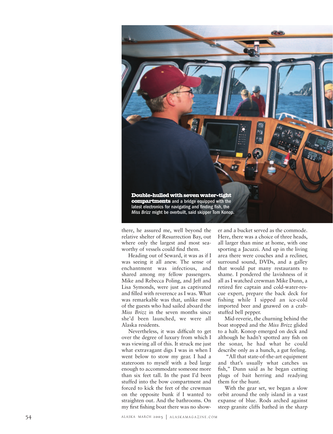

there, he assured me, well beyond the relative shelter of Resurrection Bay, out where only the largest and most seaworthy of vessels could find them.

Heading out of Seward, it was as if I was seeing it all anew. The sense of enchantment was infectious, and shared among my fellow passengers. Mike and Rebecca Poling, and Jeff and Lisa Symonds, were just as captivated and filled with reverence as I was. What was remarkable was that, unlike most of the guests who had sailed aboard the *Miss Brizz* in the seven months since she'd been launched, we were all Alaska residents.

Nevertheless, it was difficult to get over the degree of luxury from which I was viewing all of this. It struck me just what extravagant digs I was in when I went below to stow my gear. I had a stateroom to myself with a bed large enough to accommodate someone more than six feet tall. In the past I'd been stuffed into the bow compartment and forced to kick the feet of the crewman on the opposite bunk if I wanted to straighten out. And the bathrooms. On my first fishing boat there was no show-

er and a bucket served as the commode. Here, there was a choice of three heads, all larger than mine at home, with one sporting a Jacuzzi. And up in the living area there were couches and a recliner, surround sound, DVDs, and a galley that would put many restaurants to shame. I pondered the lavishness of it all as I watched crewman Mike Dunn, a retired fire captain and cold-water-rescue expert, prepare the back deck for fishing while I sipped an ice-cold imported beer and gnawed on a crabstuffed bell pepper.

Mid-reverie, the churning behind the boat stopped and the *Miss Brizz* glided to a halt. Konop emerged on deck and although he hadn't spotted any fish on the sonar, he had what he could describe only as a hunch, a gut feeling.

"All that state-of-the-art equipment and that's usually what catches us fish," Dunn said as he began cutting plugs of bait herring and readying them for the hunt.

With the gear set, we began a slow orbit around the only island in a vast expanse of blue. Rods arched against steep granite cliffs bathed in the sharp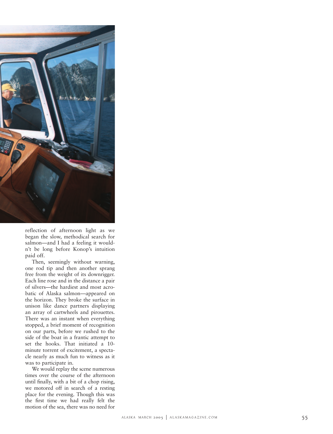

reflection of afternoon light as we began the slow, methodical search for salmon—and I had a feeling it wouldn't be long before Konop's intuition paid off.

Then, seemingly without warning, one rod tip and then another sprang free from the weight of its downrigger. Each line rose and in the distance a pair of silvers—the hardiest and most acrobatic of Alaska salmon—appeared on the horizon. They broke the surface in unison like dance partners displaying an array of cartwheels and pirouettes. There was an instant when everything stopped, a brief moment of recognition on our parts, before we rushed to the side of the boat in a frantic attempt to set the hooks. That initiated a 10 minute torrent of excitement, a spectacle nearly as much fun to witness as it was to participate in.

We would replay the scene numerous times over the course of the afternoon until finally, with a bit of a chop rising, we motored off in search of a resting place for the evening. Though this was the first time we had really felt the motion of the sea, there was no need for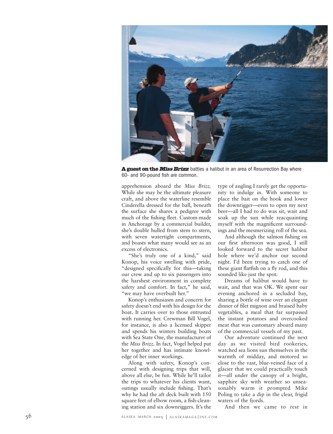

A guest on the Miss Brizz battles a halibut in an area of Resurrection Bay where 60- and 90-pound fish are common.

apprehension aboard the *Miss Brizz.* While she may be the ultimate pleasure craft, and above the waterline resemble Cinderella dressed for the ball, beneath the surface she shares a pedigree with much of the fishing fleet. Custom-made in Anchorage by a commercial builder, she's double hulled from stem to stern, with seven watertight compartments, and boasts what many would see as an excess of electronics.

"She's truly one of a kind," said Konop, his voice swelling with pride, "designed specifically for this—taking our crew and up to six passengers into the harshest environment in complete safety and comfort. In fact," he said, "we may have overbuilt her."

Konop's enthusiasm and concern for safety doesn't end with his design for the boat. It carries over to those entrusted with running her. Crewman Bill Vogel, for instance, is also a licensed skipper and spends his winters building boats with Sea State One, the manufacturer of the *Miss Brizz.* In fact, Vogel helped put her together and has intimate knowledge of her inner workings.

Along with safety, Konop's concerned with designing trips that will, above all else, be fun. While he'll tailor the trips to whatever his clients want, outings usually include fishing. That's why he had the aft deck built with 150 square feet of elbow room, a fish-cleaning station and six downriggers. It's the type of angling I rarely get the opportunity to indulge in. With someone to place the bait on the hook and lower the downrigger—even to open my next beer—all I had to do was sit, wait and soak up the sun while reacquainting myself with the magnificent surroundings and the mesmerizing roll of the sea.

And although the salmon fishing on our first afternoon was good, I still looked forward to the secret halibut hole where we'd anchor our second night. I'd been trying to catch one of these giant flatfish on a fly rod, and this sounded like just the spot.

Dreams of halibut would have to wait, and that was OK. We spent our evening anchored in a secluded bay, sharing a bottle of wine over an elegant dinner of filet mignon and braised baby vegetables, a meal that far surpassed the instant potatoes and overcooked meat that was customary aboard many of the commercial vessels of my past.

Our adventure continued the next day as we visited bird rookeries, watched sea lions sun themselves in the warmth of midday, and motored so close to the vast, blue-veined face of a glacier that we could practically touch it—all under the canopy of a bright, sapphire sky with weather so unseasonably warm it prompted Mike Poling to take a dip in the clear, frigid waters of the fjords.

And then we came to rest in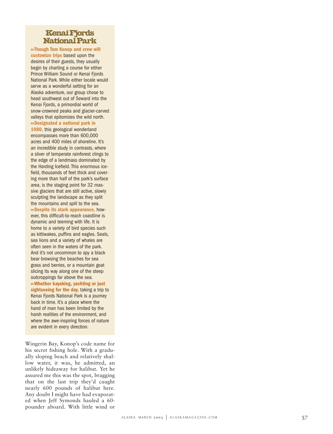### Kenai Fjords National Park

**>> Though Tom Konop and crew will customize trips** based upon the desires of their guests, they usually begin by charting a course for either Prince William Sound or Kenai Fiords National Park. While either locale would serve as a wonderful setting for an Alaska adventure, our group chose to head southwest out of Seward into the Kenai Fjords, a primordial world of snow-crowned peaks and glacier-carved valleys that epitomizes the wild north. **>>Designated a national park in 1980,** this geological wonderland encompasses more than 600,000 acres and 400 miles of shoreline. It's an incredible study in contrasts, where a sliver of temperate rainforest clings to the edge of a landmass dominated by the Harding Icefield. This enormous icefield, thousands of feet thick and covering more than half of the park's surface area, is the staging point for 32 massive glaciers that are still active, slowly sculpting the landscape as they split the mountains and spill to the sea. **>>Despite its stark appearance,** however, this difficult-to-reach coastline is dynamic and teeming with life. It is home to a variety of bird species such as kittiwakes, puffins and eagles. Seals, sea lions and a variety of whales are often seen in the waters of the park. And it's not uncommon to spy a black bear browsing the beaches for sea grass and berries, or a mountain goat slicing its way along one of the steep outcroppings far above the sea. **>>Whether kayaking, yachting or just**

**sightseeing for the day,** taking a trip to Kenai Fjords National Park is a journey back in time. It's a place where the hand of man has been limited by the harsh realities of the environment, and where the awe-inspiring forces of nature are evident in every direction.

Wingerin Bay, Konop's code name for his secret fishing hole. With a gradually sloping beach and relatively shallow water, it was, he admitted, an unlikely hideaway for halibut. Yet he assured me this was the spot, bragging that on the last trip they'd caught nearly 600 pounds of halibut here. Any doubt I might have had evaporated when Jeff Symonds hauled a 60 pounder aboard. With little wind or